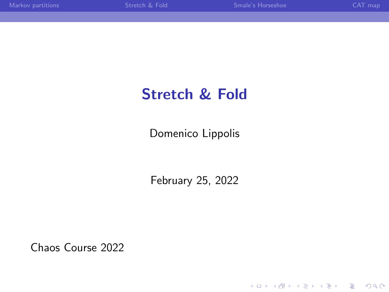K ロ ▶ K @ ▶ K 할 ▶ K 할 ▶ | 할 | © 9 Q @

# Stretch & Fold

Domenico Lippolis

February 25, 2022

Chaos Course 2022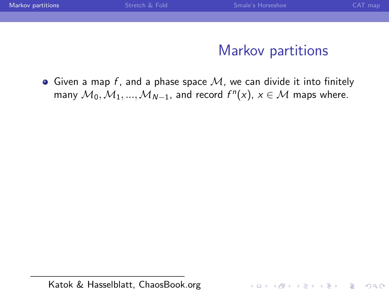<span id="page-1-0"></span>

| Markov partitions | Stretch & Fold | Smale's Horseshoe | CAT map |
|-------------------|----------------|-------------------|---------|
|                   |                |                   |         |
|                   |                |                   |         |
|                   |                |                   |         |
|                   |                | Markov partitions |         |
|                   |                |                   |         |

Given a map f, and a phase space  $M$ , we can divide it into finitely many  $\mathcal{M}_0, \mathcal{M}_1, ..., \mathcal{M}_{N-1}$ , and record  $f^n(x)$ ,  $x \in \mathcal{M}$  maps where.

K ロ ▶ K @ ▶ K 할 > K 할 > 1 할 > 1 이익어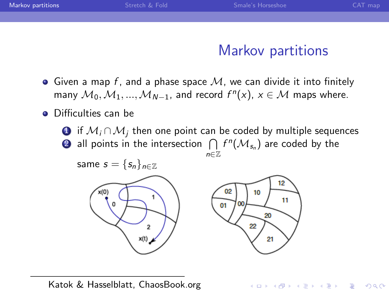| Markov partitions | Stretch & Fold | Smale's Horseshoe | CAT map |
|-------------------|----------------|-------------------|---------|
|                   |                |                   |         |
|                   |                |                   |         |
|                   |                |                   |         |
|                   |                | - -<br>.          |         |

# Markov partitions

**KORK ERKER ADE YOUR** 

- $\bullet$  Given a map f, and a phase space  $\mathcal M$ , we can divide it into finitely many  $\mathcal{M}_0, \mathcal{M}_1, ..., \mathcal{M}_{N-1}$ , and record  $f^n(x)$ ,  $x \in \mathcal{M}$  maps where.
- **•** Difficulties can be
	- **■** if  $M_i \cap M_i$  then one point can be coded by multiple sequences
	- $\bullet$  all points in the intersection  $\ \bigcap\ f^n(\mathcal{M}_{\mathsf{s}_n})$  are coded by the n∈Z



Katok & Hasselblatt, ChaosBook.org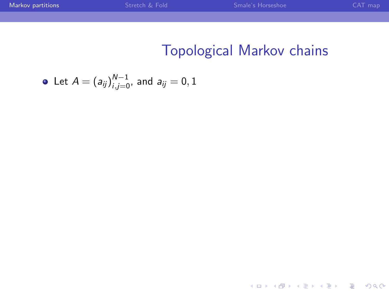K ロ ▶ K @ ▶ K 할 ▶ K 할 ▶ ... 할 ... 900

# Topological Markov chains

• Let 
$$
A = (a_{ij})_{i,j=0}^{N-1}
$$
, and  $a_{ij} = 0, 1$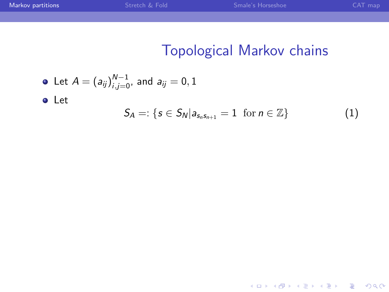イロト イ御 トイミト イミト ニミー りんぴ

# Topological Markov chains

\n- Let 
$$
A = (a_{ij})_{i,j=0}^{N-1}
$$
, and  $a_{ij} = 0, 1$
\n- Let  $S_A =: \{ s \in S_N | a_{s_n s_{n+1}} = 1 \text{ for } n \in \mathbb{Z} \}$  (1)
\n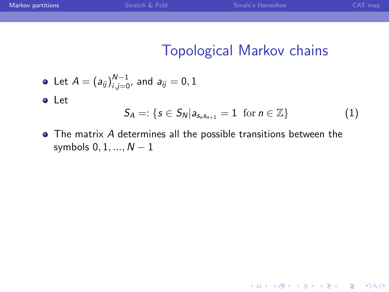K ロ ▶ K @ ▶ K 할 ▶ K 할 ▶ | 할 | © 9 Q @

# Topological Markov chains

• Let 
$$
A = (a_{ij})_{i,j=0}^{N-1}
$$
, and  $a_{ij} = 0, 1$ 

Let

$$
S_A =: \{s \in S_N | a_{s_n s_{n+1}} = 1 \text{ for } n \in \mathbb{Z}\}\
$$
 (1)

The matrix A determines all the possible transitions between the symbols  $0, 1, ..., N - 1$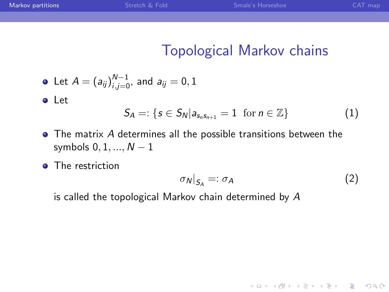# Topological Markov chains

• Let 
$$
A = (a_{ij})_{i,j=0}^{N-1}
$$
, and  $a_{ij} = 0, 1$ 

Let

$$
S_A =: \{s \in S_N | a_{s_n s_{n+1}} = 1 \text{ for } n \in \mathbb{Z}\}\
$$
 (1)

- The matrix A determines all the possible transitions between the symbols  $0, 1, ..., N - 1$
- The restriction

$$
\sigma_N|_{S_A} =: \sigma_A \tag{2}
$$

K ロ ▶ K @ ▶ K 할 > K 할 > 1 할 > 1 이익어

is called the topological Markov chain determined by A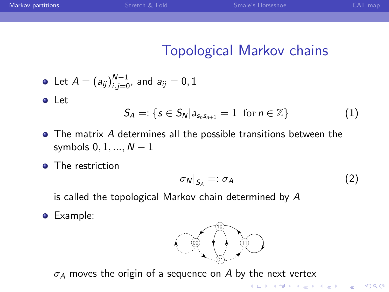# Topological Markov chains

• Let 
$$
A = (a_{ij})_{i,j=0}^{N-1}
$$
, and  $a_{ij} = 0, 1$ 

Let

$$
S_A =: \{s \in S_N | a_{s_n s_{n+1}} = 1 \text{ for } n \in \mathbb{Z}\}\
$$
 (1)

- The matrix A determines all the possible transitions between the symbols  $0, 1, ..., N - 1$
- The restriction

$$
\sigma_N|_{S_A} =: \sigma_A \tag{2}
$$

K ロ ▶ K @ ▶ K 할 > K 할 > 1 할 > 1 이익어

is called the topological Markov chain determined by A

**•** Example:



 $\sigma_A$  moves the origin of a sequence on A by the next vertex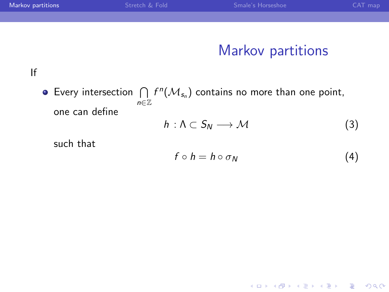| Markov partitions | Stretch & Fold | Smale's Horseshoe | CAT map |
|-------------------|----------------|-------------------|---------|
|                   |                |                   |         |
|                   |                |                   |         |
|                   |                |                   |         |
|                   |                | Markov partitions |         |
|                   |                |                   |         |
|                   |                |                   |         |

Every intersection  $\bigcap$ n∈Z  $f^n(\mathcal{M}_{s_n})$  contains no more than one point, one can define

$$
h: \Lambda \subset S_N \longrightarrow \mathcal{M} \tag{3}
$$

such that

$$
f \circ h = h \circ \sigma_N \tag{4}
$$

K ロ K K (P) K (E) K (E) X (E) X (P) K (P)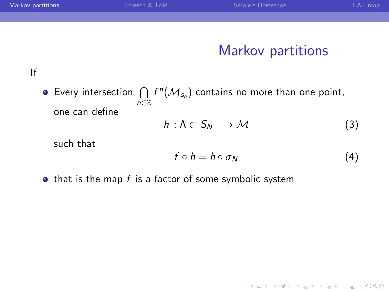| Markov partitions | Stretch & Fold | Smale's Horseshoe | $CAT$ map |
|-------------------|----------------|-------------------|-----------|
|                   |                |                   |           |
|                   |                |                   |           |

#### Markov partitions

#### If

Every intersection  $\bigcap$ n∈Z  $f^n(\mathcal{M}_{s_n})$  contains no more than one point, one can define

$$
h: \Lambda \subset S_N \longrightarrow \mathcal{M} \tag{3}
$$

such that

$$
f \circ h = h \circ \sigma_N \tag{4}
$$

K ロ ▶ K @ ▶ K 할 > K 할 > 1 할 > 1 이익어

 $\bullet$  that is the map f is a factor of some symbolic system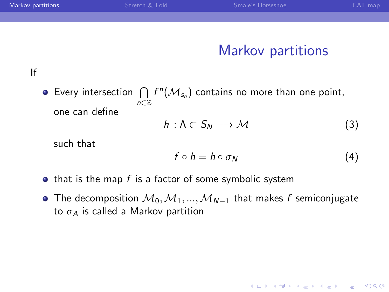| Markov partitions | Stretch & Fold | Smale's Horseshoe | CAT map |
|-------------------|----------------|-------------------|---------|
|                   |                |                   |         |
|                   |                |                   |         |

#### Markov partitions

If

Every intersection  $\bigcap$ n∈Z  $f^n(\mathcal{M}_{s_n})$  contains no more than one point, one can define

$$
h: \Lambda \subset S_N \longrightarrow \mathcal{M} \tag{3}
$$

such that

$$
f \circ h = h \circ \sigma_N \tag{4}
$$

**KORK ERKER ADE YOUR** 

- $\bullet$  that is the map f is a factor of some symbolic system
- The decomposition  $M_0, M_1, ..., M_{N-1}$  that makes f semiconjugate to  $\sigma_A$  is called a Markov partition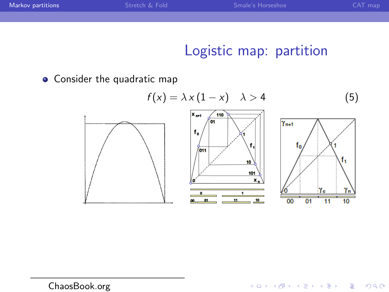| Markov partitions | Stretch & Fold | Smale's Horseshoe | CAT map |
|-------------------|----------------|-------------------|---------|
|                   |                |                   |         |

# Logistic map: partition

K ロ ▶ K @ ▶ K 할 ▶ K 할 ▶ | 할 | © 9 Q @

**•** Consider the quadratic map

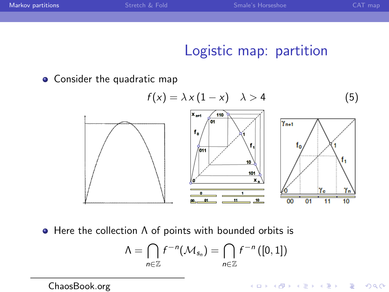| Markov partitions | Stretch & Fold | Smale's Horseshoe | CAT map |
|-------------------|----------------|-------------------|---------|
|                   |                |                   |         |

### Logistic map: partition

K ロ ▶ K @ ▶ K 할 ▶ K 할 ▶ | 할 | © 9 Q @

• Consider the quadratic map



 $\bullet$  Here the collection  $\Lambda$  of points with bounded orbits is

$$
\Lambda = \bigcap_{n \in \mathbb{Z}} f^{-n}(\mathcal{M}_{s_n}) = \bigcap_{n \in \mathbb{Z}} f^{-n}([0,1])
$$

ChaosBook.org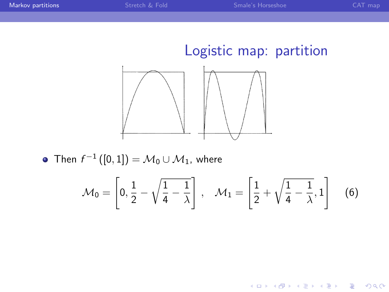K ロ ▶ K @ ▶ K 할 ▶ K 할 ▶ ... 할 → 9 Q @



Then  $f^{-1}\left(\left[0,1\right]\right) = \mathcal{M}_0 \cup \mathcal{M}_1$ , where

$$
\mathcal{M}_0 = \left[0, \frac{1}{2} - \sqrt{\frac{1}{4} - \frac{1}{\lambda}}\right], \quad \mathcal{M}_1 = \left[\frac{1}{2} + \sqrt{\frac{1}{4} - \frac{1}{\lambda}}, 1\right] \quad (6)
$$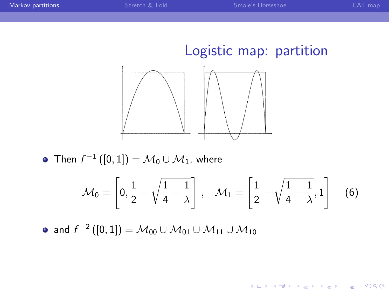K ロ > K @ > K 할 > K 할 > 1 할 : ⊙ Q Q^



Then  $f^{-1}\left(\left[0,1\right]\right) = \mathcal{M}_0 \cup \mathcal{M}_1$ , where

$$
\mathcal{M}_0 = \left[0, \frac{1}{2} - \sqrt{\frac{1}{4} - \frac{1}{\lambda}}\right], \quad \mathcal{M}_1 = \left[\frac{1}{2} + \sqrt{\frac{1}{4} - \frac{1}{\lambda}}, 1\right] \quad (6)
$$

and  $f^{-2}\left(\left[0,1\right]\right)=\mathcal{M}_{00}\cup\mathcal{M}_{01}\cup\mathcal{M}_{11}\cup\mathcal{M}_{10}$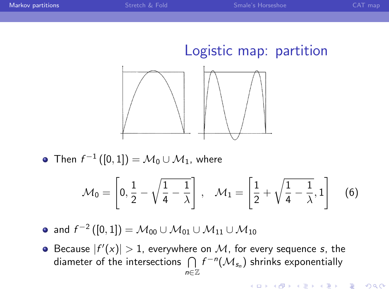**KORK STRAIN A BAR SHOP** 



Then  $f^{-1}\left(\left[0,1\right]\right) = \mathcal{M}_0 \cup \mathcal{M}_1$ , where

$$
\mathcal{M}_0 = \left[0, \frac{1}{2} - \sqrt{\frac{1}{4} - \frac{1}{\lambda}}\right], \quad \mathcal{M}_1 = \left[\frac{1}{2} + \sqrt{\frac{1}{4} - \frac{1}{\lambda}}, 1\right] \quad (6)
$$

- and  $f^{-2}\left(\left[0,1\right]\right)=\mathcal{M}_{00}\cup\mathcal{M}_{01}\cup\mathcal{M}_{11}\cup\mathcal{M}_{10}$
- Because  $|f'(x)| > 1$ , everywhere on M, for every sequence s, the diameter of the intersections  $\ \bigcap\ f^{-n}(\mathcal{M}_{\mathsf{s}_n})$  shrinks exponentially n∈Z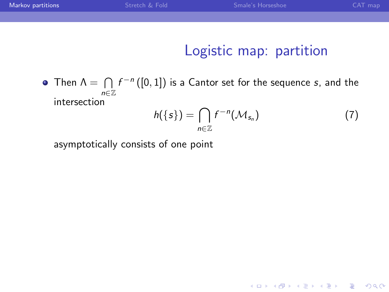| Markov partitions | Stretch & Fold | Smale's Horseshoe | $CAT$ map |
|-------------------|----------------|-------------------|-----------|
|                   |                |                   |           |
|                   |                |                   |           |
|                   |                |                   |           |

# Logistic map: partition

Then  $\Lambda = \bigcap f^{-n}([0,1])$  is a Cantor set for the sequence s, and the n∈Z intersection

$$
h(\{s\}) = \bigcap_{n \in \mathbb{Z}} f^{-n}(\mathcal{M}_{s_n})
$$
 (7)

K ロ ▶ K @ ▶ K 할 ▶ K 할 ▶ | 할 | © 9 Q @

asymptotically consists of one point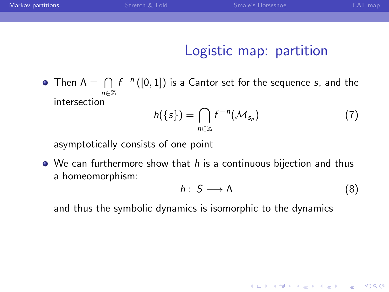| Markov partitions | Stretch & Fold | Smale's Horseshoe | CAT map |
|-------------------|----------------|-------------------|---------|
|                   |                |                   |         |
|                   |                |                   |         |

### Logistic map: partition

Then  $\Lambda = \bigcap f^{-n}([0,1])$  is a Cantor set for the sequence s, and the n∈Z intersection

$$
h(\{s\}) = \bigcap_{n \in \mathbb{Z}} f^{-n}(\mathcal{M}_{s_n})
$$
 (7)

asymptotically consists of one point

 $\bullet$  We can furthermore show that h is a continuous bijection and thus a homeomorphism:

$$
h: S \longrightarrow \Lambda \tag{8}
$$

**KORK ERKER ADE YOUR** 

and thus the symbolic dynamics is isomorphic to the dynamics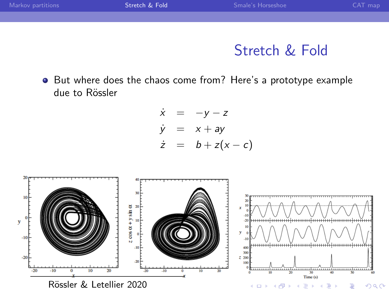<span id="page-18-0"></span>

| Markov partitions | Stretch & Fold | Smale's Horseshoe | CAT map |
|-------------------|----------------|-------------------|---------|
|                   |                |                   |         |
|                   |                |                   |         |

# Stretch & Fold

• But where does the chaos come from? Here's a prototype example due to Rössler

$$
\dot{x} = -y - z
$$
  
\n
$$
\dot{y} = x + ay
$$
  
\n
$$
\dot{z} = b + z(x - c)
$$

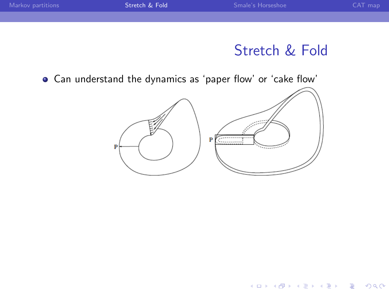# Stretch & Fold

イロト イ御 トイミト イミト ニミー りんぴ

Can understand the dynamics as 'paper flow' or 'cake flow'

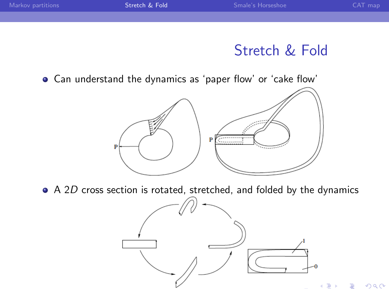# Stretch & Fold

 $299$ 

Can understand the dynamics as 'paper flow' or 'cake flow'



A 2D cross section is rotated, stretched, and folded by the dynamics

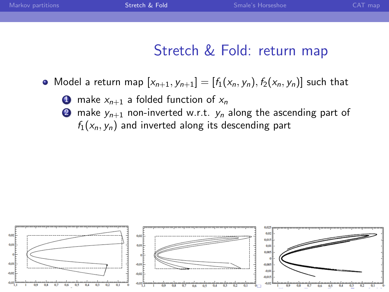| Markov partitions | Stretch & Fold | Smale's Horseshoe | CAT map |
|-------------------|----------------|-------------------|---------|
|                   |                |                   |         |
|                   |                |                   |         |

# Stretch & Fold: return map

- Model a return map  $[x_{n+1}, y_{n+1}] = [f_1(x_n, y_n), f_2(x_n, y_n)]$  such that
	- **1** make  $x_{n+1}$  a folded function of  $x_n$
	- **2** make  $y_{n+1}$  non-inverted w.r.t.  $y_n$  along the ascending part of  $f_1(x_n, y_n)$  and inverted along its descending part

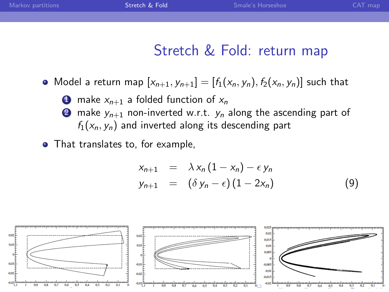| Markov partitions | Stretch & Fold | Smale's Horseshoe | CAT map |
|-------------------|----------------|-------------------|---------|
|                   |                |                   |         |
|                   |                |                   |         |

### Stretch & Fold: return map

• Model a return map  $[x_{n+1}, y_{n+1}] = [f_1(x_n, y_n), f_2(x_n, y_n)]$  such that

**1** make  $x_{n+1}$  a folded function of  $x_n$ **2** make  $y_{n+1}$  non-inverted w.r.t.  $y_n$  along the ascending part of  $f_1(x_n, y_n)$  and inverted along its descending part

• That translates to, for example,

$$
x_{n+1} = \lambda x_n (1 - x_n) - \epsilon y_n
$$
  
\n
$$
y_{n+1} = (\delta y_n - \epsilon) (1 - 2x_n)
$$
 (9)

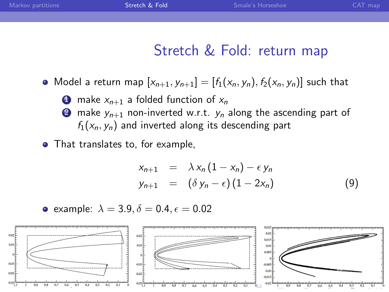| Markov partitions | Stretch & Fold | Smale's Horseshoe | CAT map |
|-------------------|----------------|-------------------|---------|
|                   |                |                   |         |
|                   |                |                   |         |

### Stretch & Fold: return map

• Model a return map  $[x_{n+1}, y_{n+1}] = [f_1(x_n, y_n), f_2(x_n, y_n)]$  such that

**1** make  $x_{n+1}$  a folded function of  $x_n$ **2** make  $y_{n+1}$  non-inverted w.r.t.  $y_n$  along the ascending part of  $f_1(x_n, y_n)$  and inverted along its descending part

• That translates to, for example,

$$
x_{n+1} = \lambda x_n (1 - x_n) - \epsilon y_n
$$
  
\n
$$
y_{n+1} = (\delta y_n - \epsilon) (1 - 2x_n)
$$
 (9)

• example: 
$$
\lambda = 3.9, \delta = 0.4, \epsilon = 0.02
$$

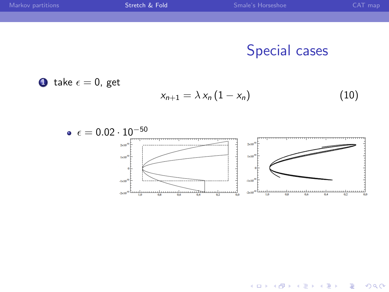| Markov partitions | Stretch & Fold | Smale's Horseshoe | CAT map |
|-------------------|----------------|-------------------|---------|
|                   |                |                   |         |
|                   |                |                   |         |
|                   |                |                   |         |
|                   |                | Special cases     |         |
|                   |                |                   |         |





 $4$  ロ )  $4$   $\overline{r}$  )  $4$   $\overline{z}$  )  $4$   $\overline{z}$  )

 $\equiv$  990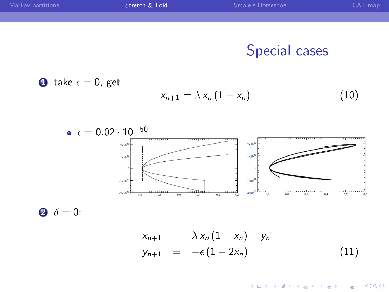| Markov partitions | Stretch & Fold | Smale's Horseshoe    | CAT map |
|-------------------|----------------|----------------------|---------|
|                   |                |                      |         |
|                   |                |                      |         |
|                   |                |                      |         |
|                   |                | <b>Special cases</b> |         |
|                   |                |                      |         |

**①** take 
$$
\epsilon = 0
$$
, get  

$$
x_{n+1} = \lambda x_n (1 - x_n)
$$
(10)



2  $\delta = 0$ :

$$
x_{n+1} = \lambda x_n (1 - x_n) - y_n
$$
  
\n
$$
y_{n+1} = -\epsilon (1 - 2x_n)
$$
\n(11)

K ロ ▶ K @ ▶ K 할 ▶ K 할 ▶ | 할 | © 9 Q @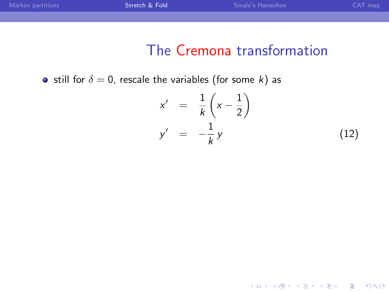### The Cremona transformation

• still for  $\delta = 0$ , rescale the variables (for some k) as

$$
x' = \frac{1}{k} \left( x - \frac{1}{2} \right)
$$
  
\n
$$
y' = -\frac{1}{k} y
$$
 (12)

K ロ ▶ K @ ▶ K 할 ▶ K 할 ▶ | 할 | ⊙Q @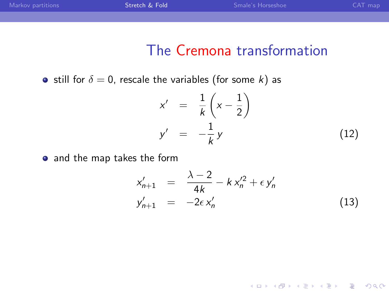### The Cremona transformation

• still for  $\delta = 0$ , rescale the variables (for some k) as

$$
x' = \frac{1}{k} \left( x - \frac{1}{2} \right)
$$
  
\n
$$
y' = -\frac{1}{k} y
$$
 (12)

• and the map takes the form

$$
x'_{n+1} = \frac{\lambda - 2}{4k} - k x'^2_n + \epsilon y'_n
$$
  
\n
$$
y'_{n+1} = -2\epsilon x'_n
$$
\n(13)

K ロ ▶ K @ ▶ K 할 ▶ K 할 ▶ | 할 | © 9 Q @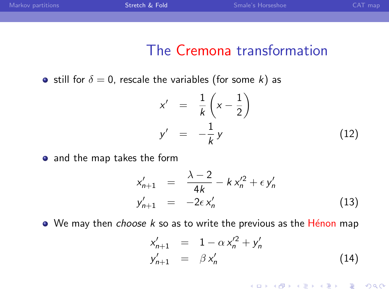### The Cremona transformation

• still for  $\delta = 0$ , rescale the variables (for some k) as

$$
x' = \frac{1}{k} \left( x - \frac{1}{2} \right)
$$
  
\n
$$
y' = -\frac{1}{k} y
$$
 (12)

• and the map takes the form

$$
x'_{n+1} = \frac{\lambda - 2}{4k} - k x'^2_n + \epsilon y'_n
$$
  
\n
$$
y'_{n+1} = -2\epsilon x'_n
$$
\n(13)

 $\bullet$  We may then *choose k* so as to write the previous as the Hénon map

$$
x'_{n+1} = 1 - \alpha x'^2_n + y'_n
$$
  
\n
$$
y'_{n+1} = \beta x'_n
$$
 (14)

K ロ ▶ K @ ▶ K 할 > K 할 > 1 할 > 1 이익어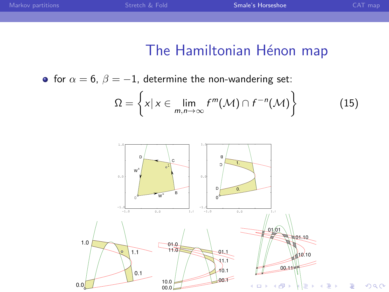# The Hamiltonian Hénon map

<span id="page-29-0"></span>• for  $\alpha = 6$ ,  $\beta = -1$ , determine the non-wandering set:

$$
\Omega = \left\{ x | x \in \lim_{m,n \to \infty} f^m(\mathcal{M}) \cap f^{-n}(\mathcal{M}) \right\}
$$
 (15)

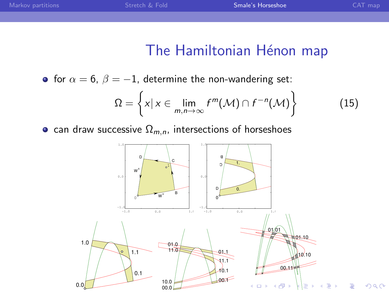# The Hamiltonian Hénon map

• for  $\alpha = 6$ ,  $\beta = -1$ , determine the non-wandering set:

$$
\Omega = \left\{ x | x \in \lim_{m,n \to \infty} f^m(\mathcal{M}) \cap f^{-n}(\mathcal{M}) \right\}
$$
 (15)

• can draw successive  $\Omega_{m,n}$ , intersections of horseshoes

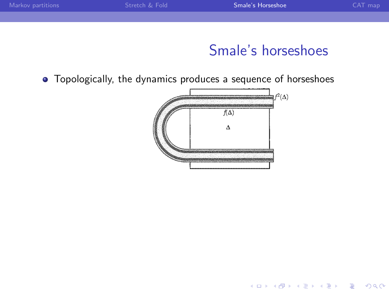| Smale's Horseshoe<br>Stretch & Fold<br>Markov partitions | CAT map |
|----------------------------------------------------------|---------|
|                                                          |         |
|                                                          |         |

K ロ ▶ K @ ▶ K 할 > K 할 > 1 할 > 1 이익어

Topologically, the dynamics produces a sequence of horseshoes

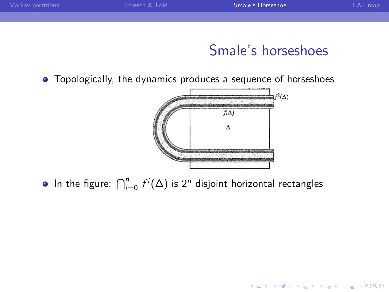| Stretch & Fold<br>Markov partitions |        | CAT map |
|-------------------------------------|--------|---------|
|                                     |        |         |
|                                     |        |         |
|                                     | .<br>- |         |

K ロ ▶ K @ ▶ K 할 > K 할 > 1 할 > 1 이익어

Topologically, the dynamics produces a sequence of horseshoes



In the figure:  $\bigcap_{i=0}^n f^i(\Delta)$  is 2<sup>n</sup> disjoint horizontal rectangles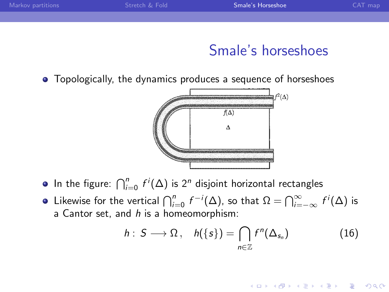• Topologically, the dynamics produces a sequence of horseshoes



- In the figure:  $\bigcap_{i=0}^n f^i(\Delta)$  is 2<sup>n</sup> disjoint horizontal rectangles
- Likewise for the vertical  $\bigcap_{i=0}^n f^{-i}(\Delta)$ , so that  $\Omega = \bigcap_{i=-\infty}^\infty f^i(\Delta)$  is a Cantor set, and  $h$  is a homeomorphism:

$$
h: S \longrightarrow \Omega, \quad h(\{s\}) = \bigcap_{n \in \mathbb{Z}} f^n(\Delta_{s_n}) \tag{16}
$$

**KORK ERKER ADE YOUR**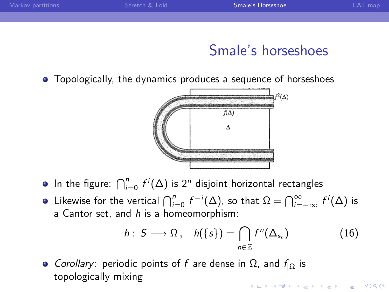• Topologically, the dynamics produces a sequence of horseshoes



- In the figure:  $\bigcap_{i=0}^n f^i(\Delta)$  is 2<sup>n</sup> disjoint horizontal rectangles
- Likewise for the vertical  $\bigcap_{i=0}^n f^{-i}(\Delta)$ , so that  $\Omega = \bigcap_{i=-\infty}^\infty f^i(\Delta)$  is a Cantor set, and  $h$  is a homeomorphism:

$$
h: S \longrightarrow \Omega, \quad h(\{s\}) = \bigcap_{n \in \mathbb{Z}} f^n(\Delta_{s_n}) \tag{16}
$$

• *Corollary*: periodic points of f are dense in  $\Omega$ , and  $f_{1Q}$  is topologically mixing**KORK ERKER ADE YOUR**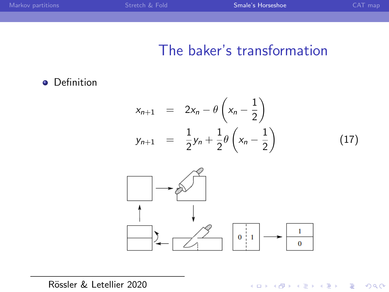| Markov partitions | Stretch & Fold | Smale's Horseshoe | CAT map |
|-------------------|----------------|-------------------|---------|
|                   |                |                   |         |

# The baker's transformation

**•** Definition

$$
x_{n+1} = 2x_n - \theta \left( x_n - \frac{1}{2} \right)
$$
  

$$
y_{n+1} = \frac{1}{2} y_n + \frac{1}{2} \theta \left( x_n - \frac{1}{2} \right)
$$
 (17)



K ロ ▶ K @ ▶ K 할 ▶ K 할 ▶ | 할 | © 9 Q @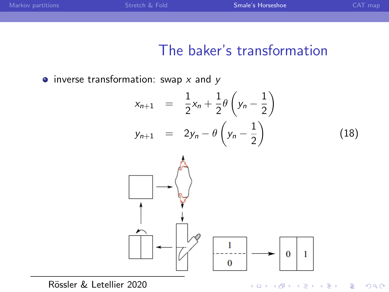| Markov partitions | Stretch & Fold | Smale's Horseshoe | CAT map |
|-------------------|----------------|-------------------|---------|
|                   |                |                   |         |

#### The baker's transformation

 $\bullet$  inverse transformation: swap x and y



 $2Q$ 

Rössler & Letellier 2020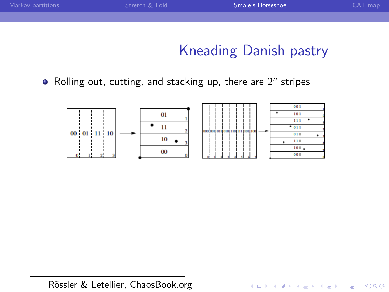| Markov partitions | Stretch & Fold | Smale's Horseshoe | CAT map |
|-------------------|----------------|-------------------|---------|
|                   |                |                   |         |
|                   |                |                   |         |

# Kneading Danish pastry

K ロ ▶ K @ ▶ K 할 > K 할 > 1 할 > 1 이익어

Rolling out, cutting, and stacking up, there are  $2<sup>n</sup>$  stripes



Rössler & Letellier, ChaosBook.org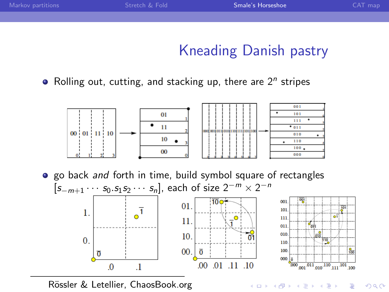# Kneading Danish pastry

 $\frac{9}{100}$ 

 $\equiv$   $\rightarrow$ Þ

イロト イ押ト イヨト イ

 $299$ 

Rolling out, cutting, and stacking up, there are  $2<sup>n</sup>$  stripes



• go back and forth in time, build symbol square of rectangles  $[s_{-m+1} \cdots s_0 s_1 s_2 \cdots s_n]$ , each of size  $2^{-m} \times 2^{-n}$  $001$ 01.  $\overline{0}$ <sup>1</sup>  $101$  $\overline{1}$ .  $\sqrt{1}^{\circ}$  $\overline{11}$ 11. ₩ 011  $\bullet$ 10. 010  $\sigma$  $\overline{0}$ . 110 110 ÷.  $00.1$  $\overline{0}$ 100  $\sigma$  $000.$  $.01$   $.11$   $.10$  $0<sup>0</sup>$ 

Rössler & Letellier, ChaosBook.org

 $\mathbf{1}$ 

 $\overline{0}$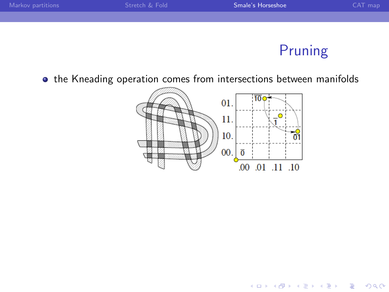

# Pruning

K ロ ▶ K @ ▶ K 할 > K 할 > 1 할 > 1 이익어

 $\bullet$  the Kneading operation comes from intersections between manifolds

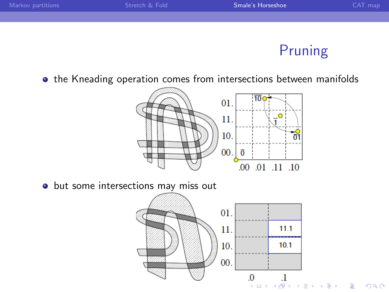

# Pruning

 $\equiv$  940

 $\bullet$  the Kneading operation comes from intersections between manifolds



• but some intersections may miss out

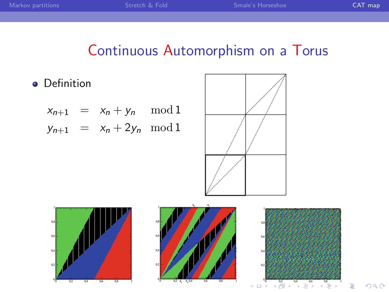#### Continuous Automorphism on a Torus

<span id="page-41-0"></span>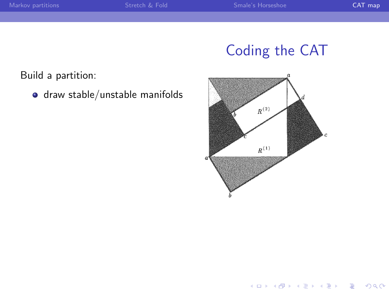Build a partition:

draw stable/unstable manifolds



K ロ ▶ K @ ▶ K 할 > K 할 > 1 할 > 1 ⊙ Q Q ^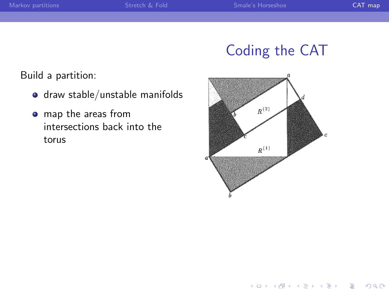Build a partition:

- draw stable/unstable manifolds
- map the areas from intersections back into the torus



K ロ ▶ K @ ▶ K 할 > K 할 > 1 할 > 1 이익어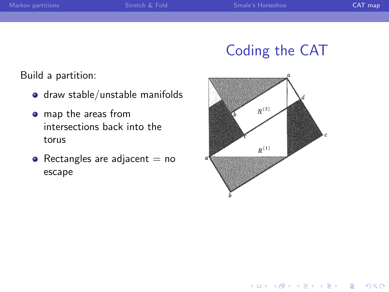Build a partition:

- draw stable/unstable manifolds
- map the areas from intersections back into the torus
- Rectangles are adjacent  $=$  no escape



K ロ > K @ > K 할 > K 할 > 1 할 : ⊙ Q Q^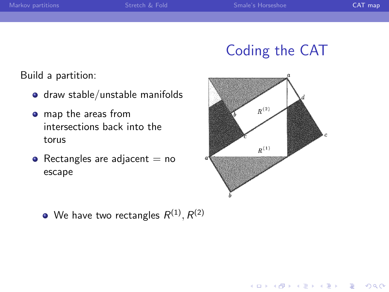Build a partition:

- draw stable/unstable manifolds
- map the areas from intersections back into the torus
- Rectangles are adjacent  $=$  no escape



K ロ > K @ > K 할 > K 할 > → 할 → ⊙ Q @

We have two rectangles  $R^{(1)}, R^{(2)}$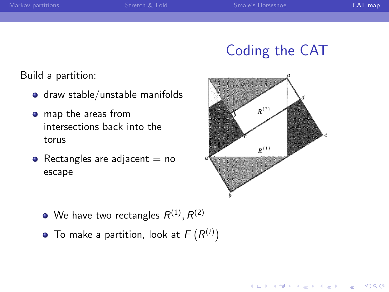Build a partition:

- draw stable/unstable manifolds
- map the areas from intersections back into the torus
- Rectangles are adjacent  $=$  no escape



**KORK STRAIN A BAR SHOP** 

- We have two rectangles  $R^{(1)}, R^{(2)}$
- To make a partition, look at  $F(R^{(i)})$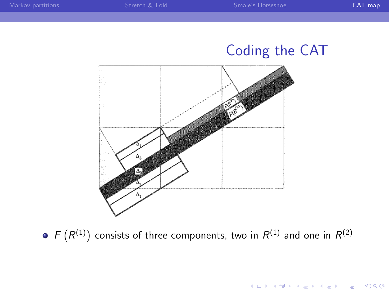K □ ▶ K @ ▶ K 할 X K 할 X T 할 X 1 9 Q Q \*



 $F(R^{(1)})$  consists of three components, two in  $R^{(1)}$  and one in  $R^{(2)}$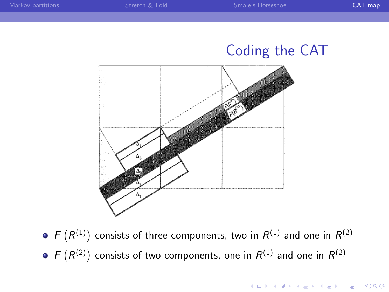**K ロ ▶ K @ ▶ K 할 X X 할 X → 할 X → 9 Q Q ^** 



 $F(R^{(1)})$  consists of three components, two in  $R^{(1)}$  and one in  $R^{(2)}$  $F(R^{(2)})$  consists of two components, one in  $R^{(1)}$  and one in  $R^{(2)}$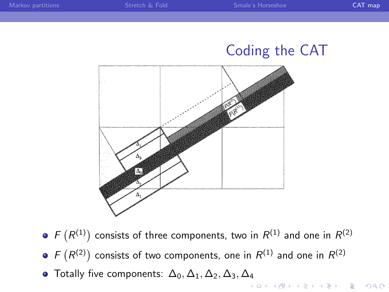

- $F(R^{(1)})$  consists of three components, two in  $R^{(1)}$  and one in  $R^{(2)}$
- $F(R^{(2)})$  consists of two components, one in  $R^{(1)}$  and one in  $R^{(2)}$
- Totally five components:  $\Delta_0$ ,  $\Delta_1$ ,  $\Delta_2$ ,  $\Delta_3$ ,  $\Delta_4$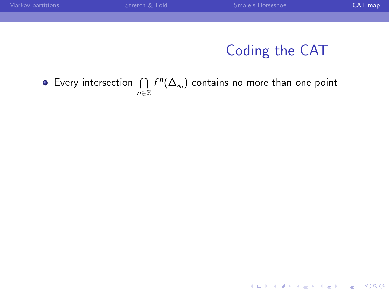| Markov partitions | Stretch & Fold | Smale's Horseshoe                                                                | CAT map |
|-------------------|----------------|----------------------------------------------------------------------------------|---------|
|                   |                |                                                                                  |         |
|                   |                |                                                                                  |         |
|                   |                |                                                                                  |         |
|                   |                | Coding the CAT                                                                   |         |
|                   |                |                                                                                  |         |
|                   |                |                                                                                  |         |
|                   |                | • Every intersection $\bigcap f^n(\Delta_{s_n})$ contains no more than one point |         |

n∈Z